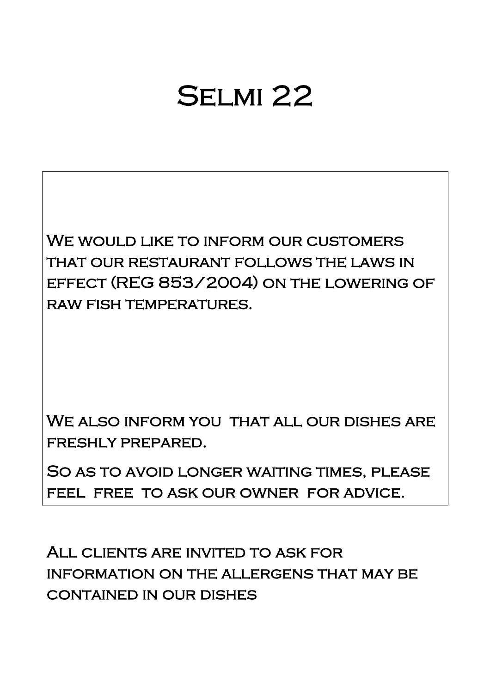# Selmi 22

WE WOULD LIKE TO INFORM OUR CUSTOMERS that our restaurant follows the laws in effect (REG 853/2004) on the lowering of raw fish temperatures.

WE ALSO INFORM YOU THAT ALL OUR DISHES ARE freshly prepared.

So as to avoid longer waiting times, please feel free to ask our owner for advice.

All clients are invited to ask for information on the allergens that may be contained in our dishes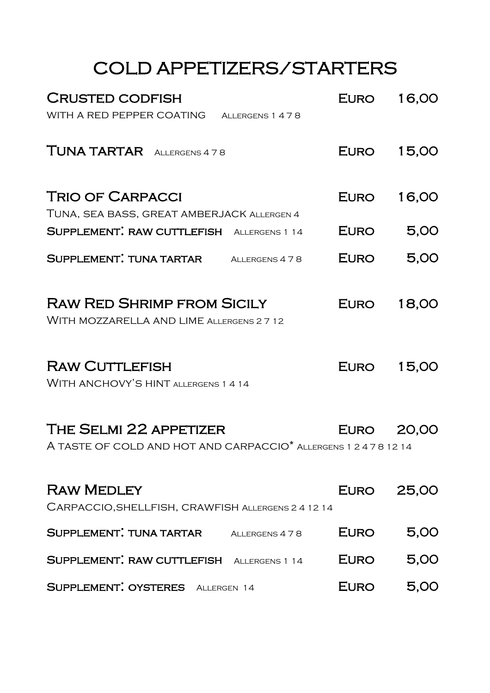## COLD APPETIZERS/STARTERS

| <b>CRUSTED CODFISH</b>                                                                                 | EURO        | 16,00      |
|--------------------------------------------------------------------------------------------------------|-------------|------------|
| WITH A RED PEPPER COATING ALLERGENS 1 4 7 8                                                            |             |            |
| <b>TUNA TARTAR</b> ALLERGENS 478                                                                       | EURO        | 15,00      |
| <b>TRIO OF CARPACCI</b>                                                                                | EURO        | 16,00      |
| TUNA, SEA BASS, GREAT AMBERJACK ALLERGEN 4                                                             |             |            |
| SUPPLEMENT: RAW CUTTLEFISH ALLERGENS 1 14                                                              | EURO        | 5,00       |
| <b>SUPPLEMENT: TUNA TARTAR</b> ALLERGENS 478                                                           | <b>EURO</b> | 5,00       |
| <b>RAW RED SHRIMP FROM SICILY</b><br>WITH MOZZARELLA AND LIME ALLERGENS 2 7 12                         | EURO        | 18,00      |
| <b>RAW CUTTLEFISH</b><br>WITH ANCHOVY'S HINT ALLERGENS 1 4 14                                          | EURO        | 15,00      |
| THE SELMI 22 APPETIZER<br>A TASTE OF COLD AND HOT AND CARPACCIO <sup>*</sup> ALLERGENS 1 2 4 7 8 12 14 |             | EURO 20,00 |
| <b>RAW MEDLEY</b><br>CARPACCIO, SHELLFISH, CRAWFISH ALLERGENS 2 4 12 14                                | EURO        | 25,00      |
| SUPPLEMENT. TUNA TARTAR<br>ALLERGENS 4 7 8                                                             | <b>EURO</b> | 5,00       |
| SUPPLEMENT: RAW CUTTLEFISH ALLERGENS 1 14                                                              | EURO        | 5,00       |
| SUPPLEMENT: OYSTERES ALLERGEN 14                                                                       | EURO        | 5,00       |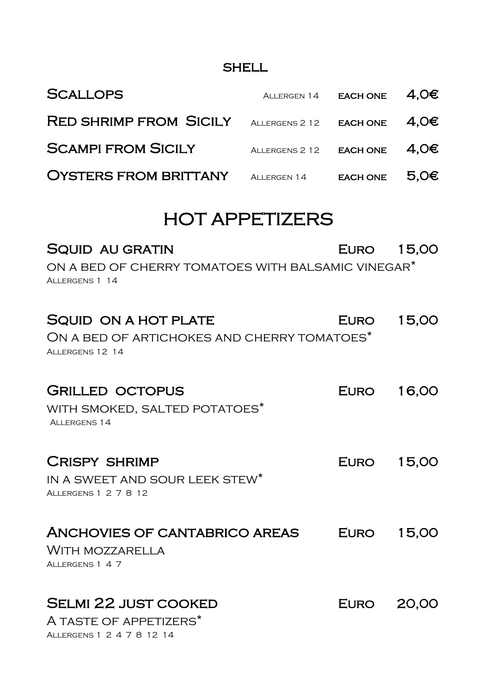#### **SHELL**

| <b>SCALLOPS</b>                                                                                            | ALLERGEN 14             | <b>EACH ONE</b> | 4,0€  |
|------------------------------------------------------------------------------------------------------------|-------------------------|-----------------|-------|
| <b>RED SHRIMP FROM SICILY</b>                                                                              | ALLERGENS 2 12 EACH ONE |                 | 4,0€  |
| <b>SCAMPI FROM SICILY</b>                                                                                  | ALLERGENS 2 12 EACH ONE |                 | 4,0€  |
| <b>OYSTERS FROM BRITTANY</b>                                                                               | ALLERGEN 14 EACH ONE    |                 | 5,0€  |
|                                                                                                            | <b>HOT APPETIZERS</b>   |                 |       |
| <b>SQUID AU GRATIN</b><br>ON A BED OF CHERRY TOMATOES WITH BALSAMIC VINEGAR <sup>*</sup><br>ALLERGENS 1 14 |                         | EURO 15,00      |       |
| <b>SQUID ON A HOT PLATE</b><br>ON A BED OF ARTICHOKES AND CHERRY TOMATOES*<br>ALLERGENS 12 14              |                         | EURO            | 15,00 |
| <b>GRILLED OCTOPUS</b><br>WITH SMOKED, SALTED POTATOES*<br>ALLERGENS 14                                    |                         | EURO            | 16,00 |
| <b>CRISPY SHRIMP</b><br>IN A SWEET AND SOUR LEEK STEW*<br>ALLERGENS 1 2 7 8 12                             |                         | EURO            | 15,00 |
| ANCHOVIES OF CANTABRICO AREAS<br>WITH MOZZARELLA<br>ALLERGENS 1 4 7                                        |                         | EURO            | 15,00 |
| <b>SELMI 22 JUST COOKED</b><br>A TASTE OF APPETIZERS*<br>ALLERGENS 1 2 4 7 8 12 14                         |                         | EURO            | 20,00 |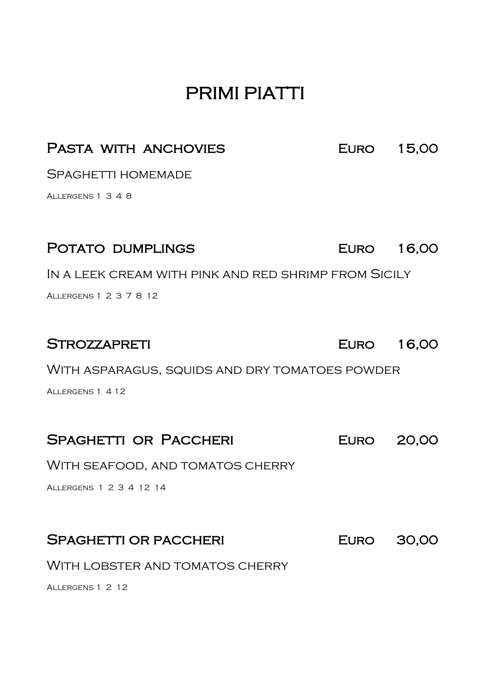## PRIMI PIATTI

#### PASTA WITH ANCHOVIES EURO 15,00

SPAGHETTI HOMEMADE

Allergens 1 3 4 8

| POTATO DUMPLINGS                                     | EURO 16,00 |       |
|------------------------------------------------------|------------|-------|
| IN A LEEK CREAM WITH PINK AND RED SHRIMP FROM SICILY |            |       |
| ALLERGENS 1 2 3 7 8 12                               |            |       |
|                                                      |            |       |
| <b>STROZZAPRETI</b>                                  | EURO 16,00 |       |
| WITH ASPARAGUS, SQUIDS AND DRY TOMATOES POWDER       |            |       |
| ALLERGENS 1 4 12                                     |            |       |
|                                                      |            |       |
| <b>SPAGHETTI OR PACCHERI</b>                         | EURO 20,00 |       |
| WITH SEAFOOD, AND TOMATOS CHERRY                     |            |       |
| ALLERGENS 1 2 3 4 12 14                              |            |       |
|                                                      |            |       |
| <b>SPAGHETTI OR PACCHERI</b>                         | EURO       | 30,00 |
| WITH LOBSTER AND TOMATOS CHERRY                      |            |       |
| ALLERGENS 1 2 12                                     |            |       |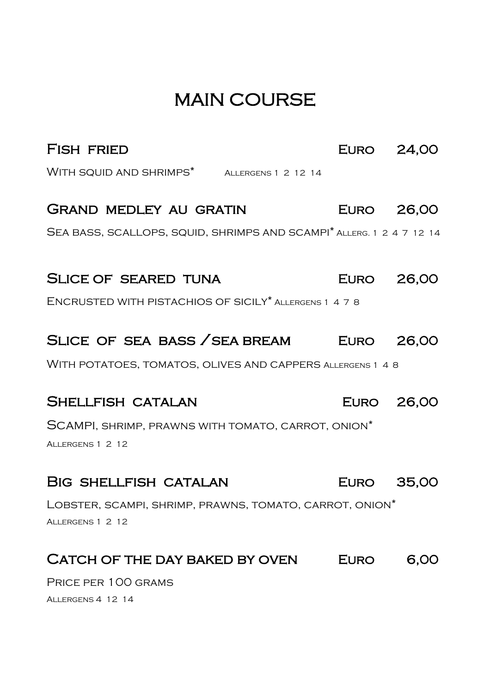## MAIN COURSE

| <b>FISH FRIED</b>                                                                       | EURO 24,00 |      |
|-----------------------------------------------------------------------------------------|------------|------|
| WITH SQUID AND SHRIMPS <sup>*</sup> ALLERGENS 1 2 12 14                                 |            |      |
| <b>GRAND MEDLEY AU GRATIN</b>                                                           | EURO 26,00 |      |
| SEA BASS, SCALLOPS, SQUID, SHRIMPS AND SCAMPI <sup>*</sup> ALLERG. 1 2 4 7 12 14        |            |      |
|                                                                                         |            |      |
| <b>SLICE OF SEARED TUNA</b>                                                             | EURO 26,00 |      |
| ENCRUSTED WITH PISTACHIOS OF SICILY* ALLERGENS 1 4 7 8                                  |            |      |
| SLICE OF SEA BASS / SEA BREAM EURO 26,00                                                |            |      |
| WITH POTATOES, TOMATOS, OLIVES AND CAPPERS ALLERGENS 1 4 8                              |            |      |
| SHELLFISH CATALAN                                                                       | EURO 26,00 |      |
| SCAMPI, SHRIMP, PRAWNS WITH TOMATO, CARROT, ONION*                                      |            |      |
| ALLERGENS 1 2 12                                                                        |            |      |
| BIG SHELLFISH CATALAN                                                                   | EURO 35,00 |      |
|                                                                                         |            |      |
| LOBSTER, SCAMPI, SHRIMP, PRAWNS, TOMATO, CARROT, ONION <sup>*</sup><br>ALLERGENS 1 2 12 |            |      |
| CATCH OF THE DAY BAKED BY OVEN                                                          | EURO       | 6,00 |
| PRICE PER 100 GRAMS                                                                     |            |      |
| ALLERGENS 4 12 14                                                                       |            |      |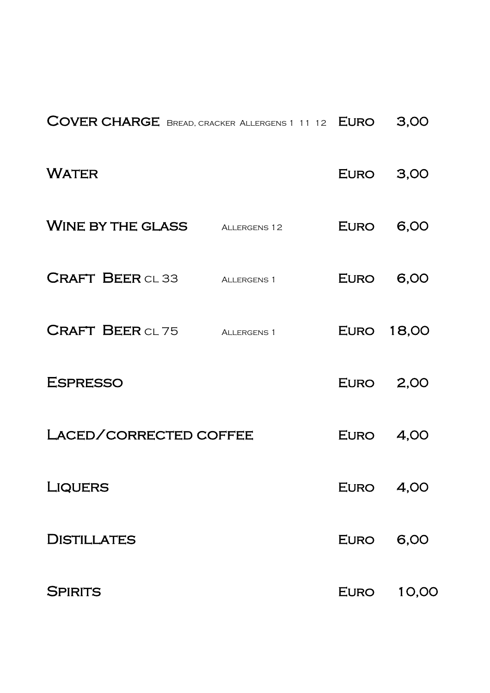| COVER CHARGE BREAD, CRACKER ALLERGENS 1 11 12 EURO |              |             | 3,00              |
|----------------------------------------------------|--------------|-------------|-------------------|
| <b>WATER</b>                                       |              | <b>EURO</b> | 3,00              |
| WINE BY THE GLASS                                  | ALLERGENS 12 | <b>EURO</b> | 6,00              |
| <b>CRAFT BEER CL 33</b>                            | ALLERGENS 1  | EURO        | 6,00              |
| <b>CRAFT BEER CL 75</b>                            | ALLERGENS 1  |             | <b>EURO 18,00</b> |
| <b>ESPRESSO</b>                                    |              | <b>EURO</b> | 2,00              |
| LACED/CORRECTED COFFEE                             |              | EURO        | 4,00              |
| <b>LIQUERS</b>                                     |              | <b>EURO</b> | 4,00              |
| <b>DISTILLATES</b>                                 |              | <b>EURO</b> | 6,00              |
| <b>SPIRITS</b>                                     |              | EURO        | 10,00             |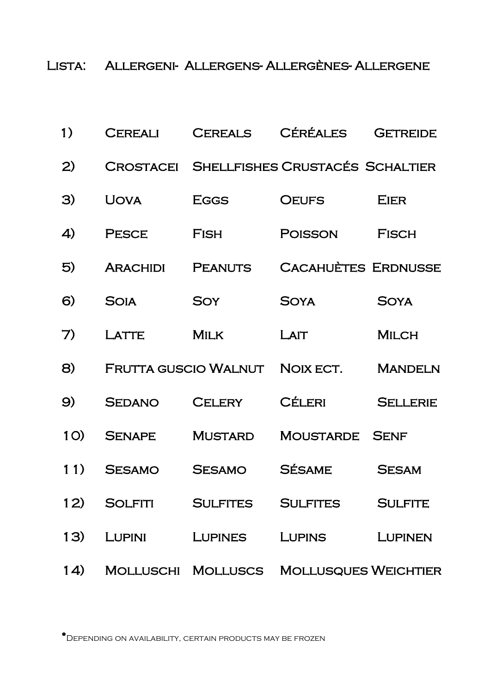Lista: Allergeni- Allergens- Allergènes- Allergene

| 1)       | <b>CEREALI</b>   | <b>CEREALS</b>              | <b>CÉRÉALES</b>                 | <b>GETREIDE</b> |
|----------|------------------|-----------------------------|---------------------------------|-----------------|
| 2)       | <b>CROSTACEI</b> |                             | SHELLFISHES CRUSTACÉS SCHALTIER |                 |
| 3)       | <b>UOVA</b>      | <b>EGGS</b>                 | <b>OEUFS</b>                    | <b>EIER</b>     |
| 4)       | <b>PESCE</b>     | <b>FISH</b>                 | <b>POISSON</b>                  | <b>FISCH</b>    |
| 5)       | <b>ARACHIDI</b>  | <b>PEANUTS</b>              | <b>CACAHUÈTES ERDNUSSE</b>      |                 |
| $\Theta$ | <b>SOIA</b>      | <b>SOY</b>                  | <b>SOYA</b>                     | <b>SOYA</b>     |
| 7)       | LATTE            | <b>MILK</b>                 | LAIT                            | <b>MILCH</b>    |
| 8)       |                  | <b>FRUTTA GUSCIO WALNUT</b> | NOIX ECT.                       | <b>MANDELN</b>  |
|          |                  |                             |                                 |                 |
| 9)       | <b>SEDANO</b>    | <b>CELERY</b>               | <b>CÉLERI</b>                   | <b>SELLERIE</b> |
| 1O)      | <b>SENAPE</b>    | <b>MUSTARD</b>              | <b>MOUSTARDE</b>                | <b>SENF</b>     |
| 11)      | <b>SESAMO</b>    | <b>SESAMO</b>               | <b>SÉSAME</b>                   | <b>SESAM</b>    |
| 12)      |                  |                             | SOLFITI SULFITES SULFITES       | <b>SULFITE</b>  |
| 13)      |                  |                             | LUPINI LUPINES LUPINS           | LUPINEN         |

\*Depending on availability, certain products may be frozen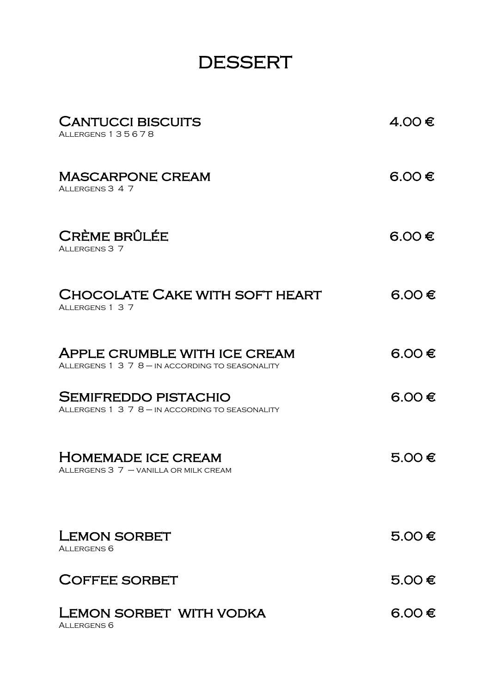## DESSERT

| <b>CANTUCCI BISCUITS</b><br>ALLERGENS 135678                                           | 4.00 $\in$ |
|----------------------------------------------------------------------------------------|------------|
| <b>MASCARPONE CREAM</b><br>ALLERGENS 3 4 7                                             | 6.OO€      |
| <b>CRÈME BRÛLÉE</b><br>ALLERGENS 3 7                                                   | 6.OO€      |
| CHOCOLATE CAKE WITH SOFT HEART<br>ALLERGENS 1 3 7                                      | $6.00 \in$ |
| <b>APPLE CRUMBLE WITH ICE CREAM</b><br>ALLERGENS 1 3 7 8 - IN ACCORDING TO SEASONALITY | 6.00 €     |
| <b>SEMIFREDDO PISTACHIO</b><br>ALLERGENS 1 3 7 8 - IN ACCORDING TO SEASONALITY         | $6.00 \in$ |
| <b>HOMEMADE ICE CREAM</b><br>ALLERGENS $3 \ 7 -$ VANILLA OR MILK CREAM                 | $5.00 \in$ |
| <b>LEMON SORBET</b><br>ALLERGENS <sub>6</sub>                                          | 5.00 €     |
| <b>COFFEE SORBET</b>                                                                   | 5.00 €     |
| LEMON SORBET WITH VODKA<br>ALLERGENS <sub>6</sub>                                      | $6.00 \in$ |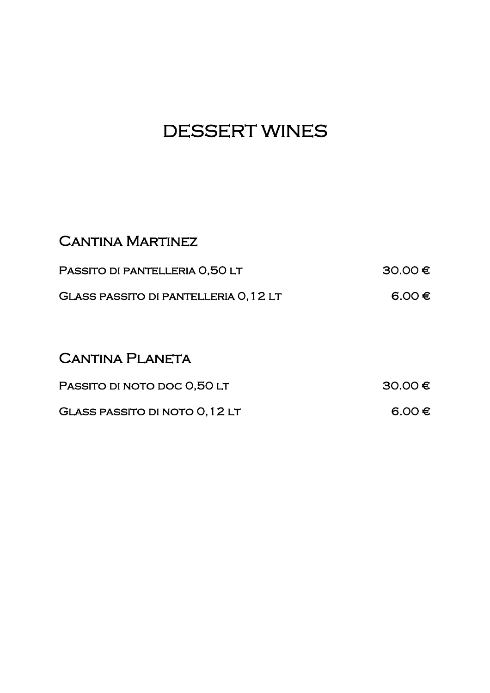## DESSERT WINES

| <b>CANTINA MARTINEZ</b>                      |         |
|----------------------------------------------|---------|
| PASSITO DI PANTELLERIA 0.50 LT               | 30.00 € |
| <b>GLASS PASSITO DI PANTELLERIA O, 12 LT</b> | 6.00 €  |

#### CANTINA PLANETA

| PASSITO DI NOTO DOC 0,50 LT    | 30.00€ |
|--------------------------------|--------|
| GLASS PASSITO DI NOTO 0, 12 LT | 6.00 € |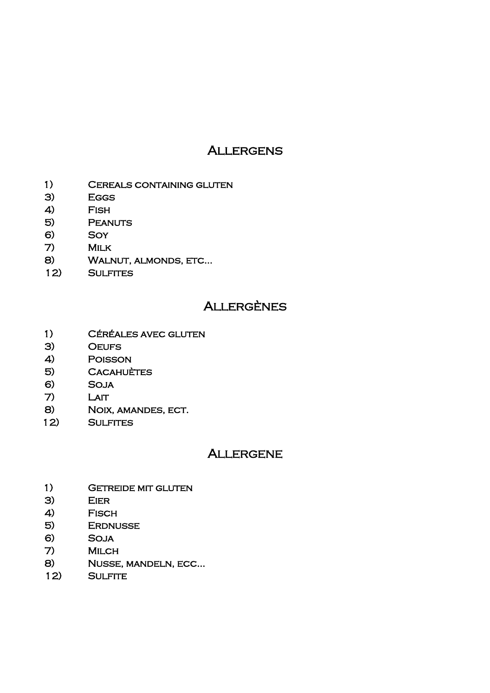#### **ALLERGENS**

- 1) Cereals containing gluten
- 3) Eggs
- 4) Fish
- 5) Peanuts
- 6) Soy
- 7) Milk
- 8) WALNUT, ALMONDS, ETC...
- 12) Sulfites

#### **ALLERGÈNES**

- 1) Céréales avec gluten
- 3) Oeufs
- 4) Poisson
- 5) **CACAHUÈTES**
- 6) Soja
- 7) Lait
- 8) Noix, amandes, ect.
- 12) Sulfites

#### **ALLERGENE**

- 1) GETREIDE MIT GLUTEN
- 3) Eier
- 4) Fisch
- 5) Erdnusse
- 6) Soja
- 7) Milch
- 8) Nusse, mandeln, ecc…
- 12) Sulfite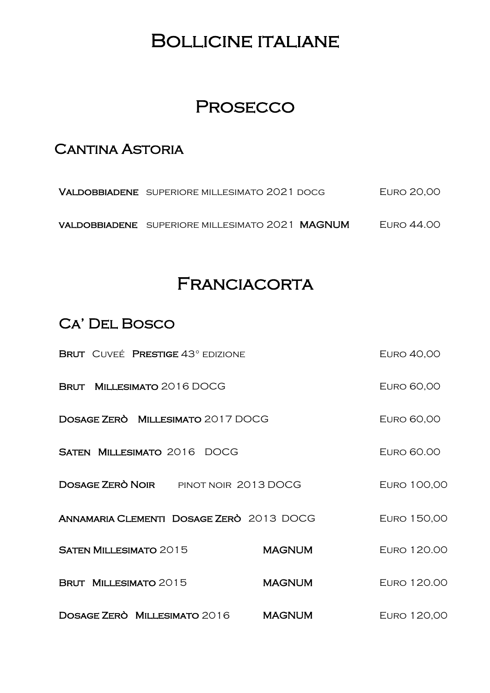## Bollicine italiane

## **PROSECCO**

#### **CANTINA ASTORIA**

| VALDOBBIADENE SUPERIORE MILLESIMATO 2021 DOCG   | <b>EURO 20,00</b> |
|-------------------------------------------------|-------------------|
| VALDOBBIADENE SUPERIORE MILLESIMATO 2021 MAGNUM | EURO 44.00        |

## **FRANCIACORTA**

#### Ca' Del Bosco

| BRUT CUVEÉ PRESTIGE 43° EDIZIONE             |               | <b>EURO 40,00</b> |
|----------------------------------------------|---------------|-------------------|
| BRUT MILLESIMATO 2016 DOCG                   |               | <b>EURO 60,00</b> |
| DOSAGE ZERÒ MILLESIMATO 2017 DOCG            |               | <b>EURO 60,00</b> |
| <b>SATEN MILLESIMATO 2016 DOCG</b>           |               | <b>EURO 60.00</b> |
| <b>DOSAGE ZERÒ NOIR</b> PINOT NOIR 2013 DOCG |               | EURO 100,00       |
| ANNAMARIA CLEMENTI DOSAGE ZERÒ 2013 DOCG     |               | EURO 150,00       |
| <b>SATEN MILLESIMATO 2015</b>                | <b>MAGNUM</b> | EURO 120.00       |
| BRUT MILLESIMATO 2015                        | <b>MAGNUM</b> | EURO 120.00       |
| <b>DOSAGE ZERO MILLESIMATO 2016</b>          | <b>MAGNUM</b> | EURO 120,00       |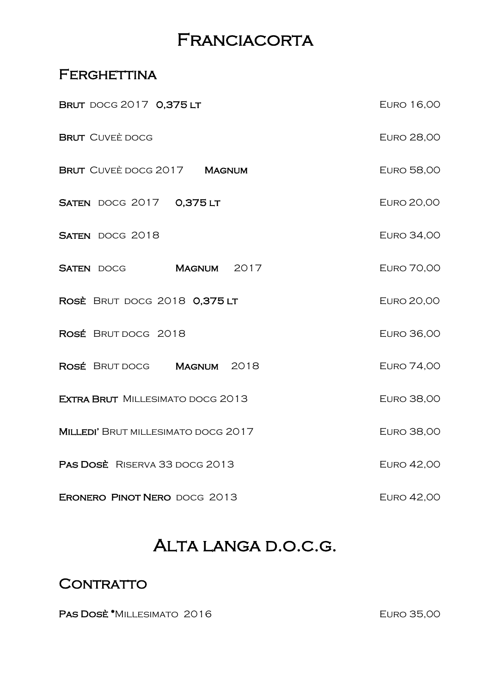## **FRANCIACORTA**

#### FERGHETTINA

| <b>BRUT</b> DOCG 2017 0,375 LT          |  | <b>EURO 16,00</b> |
|-----------------------------------------|--|-------------------|
| <b>BRUT</b> CUVEÈ DOCG                  |  | <b>EURO 28,00</b> |
| BRUT CUVEÈ DOCG 2017 MAGNUM             |  | <b>EURO 58,00</b> |
| <b>SATEN DOCG 2017 0,375 LT</b>         |  | <b>EURO 20,00</b> |
| <b>SATEN DOCG 2018</b>                  |  | <b>EURO 34,00</b> |
| SATEN DOCG MAGNUM 2017                  |  | <b>EURO 70,00</b> |
| ROSÈ BRUT DOCG 2018 0,375 LT            |  | <b>EURO 20,00</b> |
| ROSÉ BRUT DOCG 2018                     |  | <b>EURO 36,00</b> |
| ROSÉ BRUT DOCG MAGNUM 2018              |  | <b>EURO 74,00</b> |
| <b>EXTRA BRUT</b> MILLESIMATO DOCG 2013 |  | <b>EURO 38,00</b> |
| MILLEDI' BRUT MILLESIMATO DOCG 2017     |  | <b>EURO 38,00</b> |
| PAS DOSE RISERVA 33 DOCG 2013           |  | <b>EURO 42,00</b> |
| ERONERO PINOT NERO DOCG 2013            |  | <b>EURO 42,00</b> |

## Alta langa d.o.c.g.

#### CONTRATTO

PAS DOSÈ \*MILLESIMATO 2016 EURO 35,00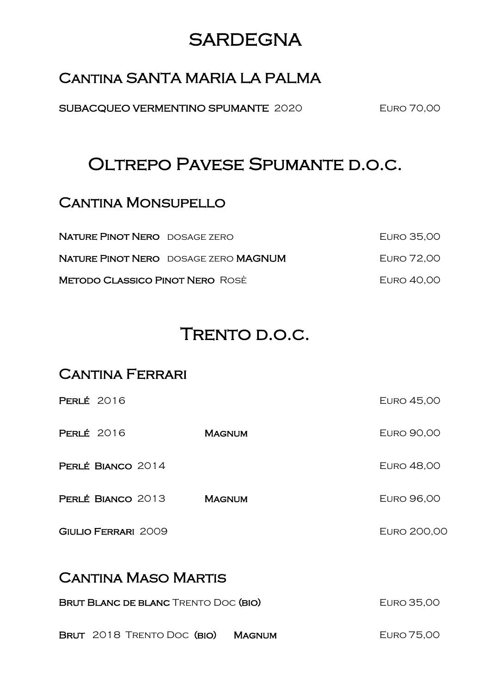## **SARDEGNA**

#### Cantina SANTA MARIA LA PALMA

SUBACQUEO VERMENTINO SPUMANTE 2020 EURO 70,00

## OLTREPO PAVESE SPUMANTE D.O.C.

#### **CANTINA MONSUPELLO**

| NATURE PINOT NERO DOSAGE ZERO          |                                                    | EURO 35,00 |
|----------------------------------------|----------------------------------------------------|------------|
|                                        | <b>NATURE PINOT NERO</b> DOSAGE ZERO <b>MAGNUM</b> | EURO 72.00 |
| <b>METODO CLASSICO PINOT NERO ROSÈ</b> |                                                    | EURO 40,00 |

## TRENTO D.O.C.

#### **CANTINA FERRARI**

| <b>PERLÉ 2016</b>          |               | <b>EURO 45,00</b> |  |
|----------------------------|---------------|-------------------|--|
| <b>PERLÉ 2016</b>          | <b>MAGNUM</b> | <b>EURO 90,00</b> |  |
| PERLÉ BIANCO 2014          |               | <b>EURO 48,00</b> |  |
| PERLÉ BIANCO 2013          | <b>MAGNUM</b> | <b>EURO 96,00</b> |  |
| <b>GIULIO FERRARI 2009</b> |               | EURO 200,00       |  |
| <b>CANTINA MASO MARTIS</b> |               |                   |  |

| <b>BRUT BLANC DE BLANC TRENTO DOC (BIO)</b> | EURO 35,00 |            |
|---------------------------------------------|------------|------------|
| BRUT 2018 TRENTO DOC (BIO) MAGNUM           |            | EURO 75,00 |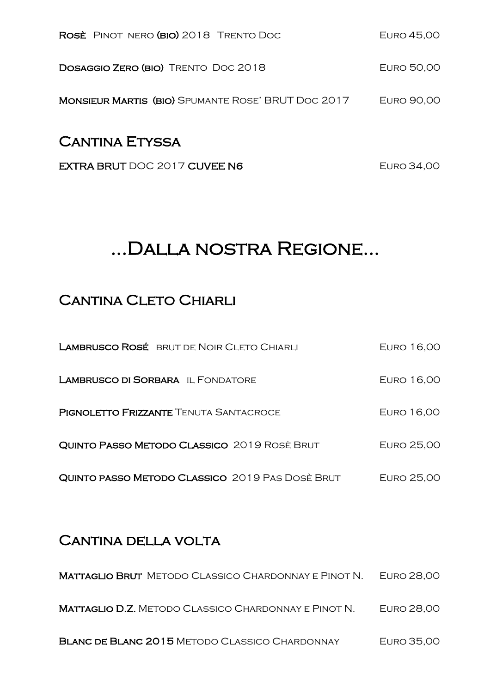| <b>CANTINA ETYSSA</b>                                     |            |
|-----------------------------------------------------------|------------|
| <b>MONSIEUR MARTIS (BIO)</b> SPUMANTE ROSE' BRUT DOC 2017 | EURO 90,00 |
| <b>DOSAGGIO ZERO (BIO)</b> TRENTO DOC 2018                | EURO 50,00 |
| ROSE PINOT NERO (BIO) 2018 TRENTO DOC                     | EURO 45,00 |

EXTRA BRUT DOC 2017 CUVEE N6 EURO 34,00

## ...Dalla nostra Regione…

#### **CANTINA CLETO CHIARLI**

| <b>LAMBRUSCO ROSÉ BRUT DE NOIR CLETO CHIARLI</b> | EURO 16,00 |
|--------------------------------------------------|------------|
| <b>LAMBRUSCO DI SORBARA IL FONDATORE</b>         | EURO 16,00 |
| <b>PIGNOLETTO FRIZZANTE TENUTA SANTACROCE</b>    | EURO 16,00 |
| QUINTO PASSO METODO CLASSICO 2019 ROSÈ BRUT      | EURO 25,00 |
| QUINTO PASSO METODO CLASSICO 2019 PAS DOSÈ BRUT  | EURO 25,00 |

#### CANTINA DELLA VOLTA

| <b>MATTAGLIO BRUT</b> METODO CLASSICO CHARDONNAY E PINOT N. | EURO 28.00 |
|-------------------------------------------------------------|------------|
| <b>MATTAGLIO D.Z.</b> METODO CLASSICO CHARDONNAY E PINOT N. | EURO 28,00 |
| <b>BLANC DE BLANC 2015 METODO CLASSICO CHARDONNAY</b>       | EURO 35,00 |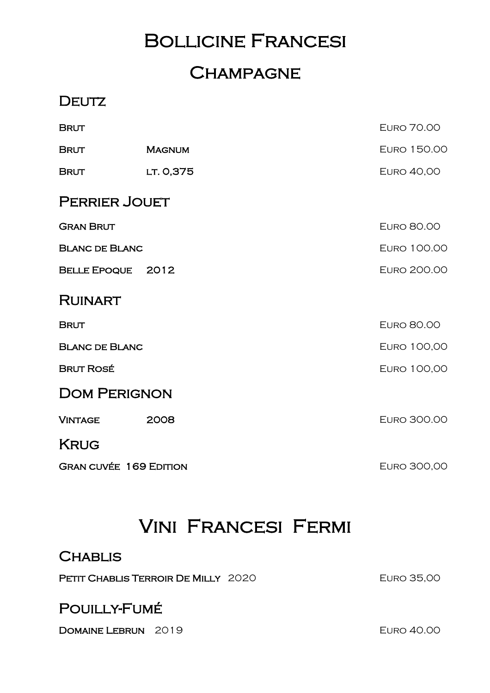## Bollicine Francesi

## **CHAMPAGNE**

#### **DEUTZ**

| <b>BRUT</b>                   |               | <b>EURO 70.00</b>  |
|-------------------------------|---------------|--------------------|
| <b>BRUT</b>                   | <b>MAGNUM</b> | EURO 150.00        |
| <b>BRUT</b>                   | LT. 0,375     | <b>EURO 40,00</b>  |
| <b>PERRIER JOUET</b>          |               |                    |
| <b>GRAN BRUT</b>              |               | <b>EURO 80.00</b>  |
| <b>BLANC DE BLANC</b>         |               | EURO 100.00        |
| <b>BELLE EPOQUE</b>           | 2012          | <b>EURO 200.00</b> |
| <b>RUINART</b>                |               |                    |
| <b>BRUT</b>                   |               | <b>EURO 80.00</b>  |
| <b>BLANC DE BLANC</b>         |               | EURO 100,00        |
| <b>BRUT ROSÉ</b>              |               | EURO 100,00        |
| <b>DOM PERIGNON</b>           |               |                    |
| <b>VINTAGE</b>                | 2008          | EURO 300.00        |
| <b>KRUG</b>                   |               |                    |
| <b>GRAN CUVÉE 169 EDITION</b> |               | EURO 300,00        |

## Vini Francesi Fermi

#### **CHABLIS**

PETIT CHABLIS TERROIR DE MILLY 2020 EURO 35,00

#### POUILLY-FUMÉ

DOMAINE LEBRUN 2019 EURO 40.00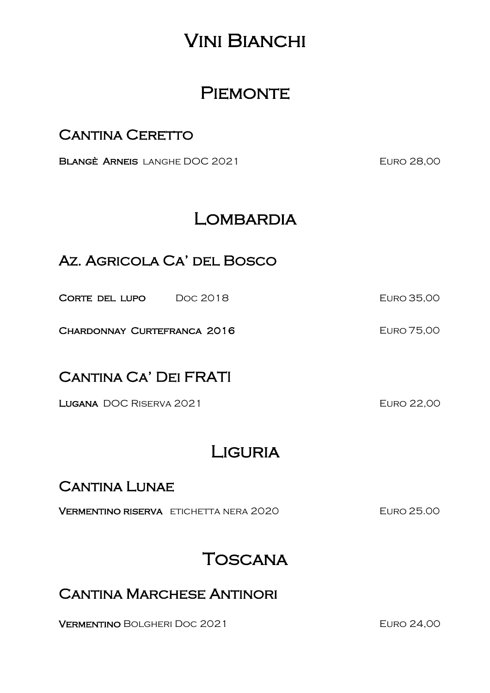## Vini Bianchi

## **PIEMONTE**

#### CANTINA CERETTO

BLANGÈ ARNEIS LANGHE DOC 2021 EURO 28,00

## LOMBARDIA

#### Az. Agricola Ca' del Bosco

Corte del lupo Doc 2018 Euro 35,00

CHARDONNAY CURTEFRANCA 2016 EURO 75,00

#### Cantina Ca' Dei FRATI

LUGANA DOC RISERVA 2021 CURREGALE EURO 22,00

## **LIGURIA**

#### **CANTINA LUNAE**

Vermentino riserva etichetta nera 2020 Euro 25.00

## **TOSCANA**

#### Cantina Marchese Antinori

VERMENTINO BOLGHERI DOC 2021 EURO 24,00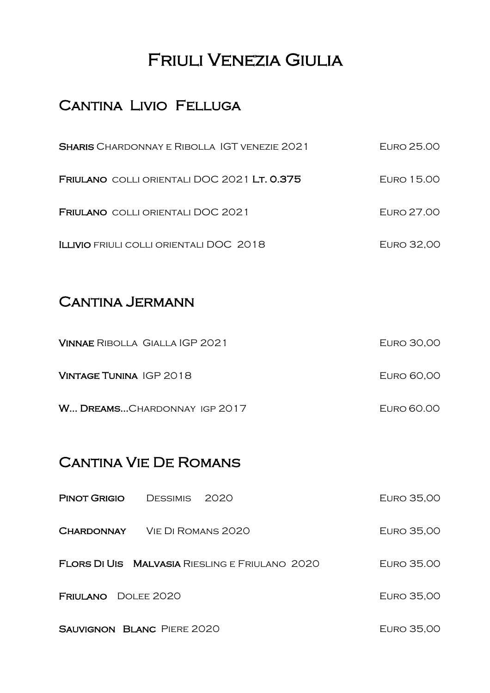## Friuli Venezia Giulia

#### CANTINA LIVIO FELLUGA

| <b>SHARIS</b> CHARDONNAY E RIBOLLA IGT VENEZIE 2021 | EURO 25.00        |
|-----------------------------------------------------|-------------------|
| FRIULANO COLLI ORIENTALI DOC 2021 LT. 0.375         | EURO 15.00        |
| <b>FRIULANO</b> COLLI ORIENTALI DOC 2021            | EURO 27.00        |
| ILLIVIO FRIULI COLLI ORIENTALI DOC 2018             | <b>EURO 32,00</b> |

#### CANTINA JERMANN

| VINNAE RIBOLLA GIALLA IGP 2021 | <b>EURO 30,00</b> |
|--------------------------------|-------------------|
| VINTAGE TUNINA IGP 2018        | EURO 60,00        |
| W DREAMS CHARDONNAY IGP 2017   | EURO 60.00        |

#### Cantina Vie De Romans

| <b>PINOT GRIGIO</b>               | DESSIMIS 2020 |                                                       | EURO 35,00 |
|-----------------------------------|---------------|-------------------------------------------------------|------------|
| CHARDONNAY                        |               | VIE DI ROMANS 2020                                    | EURO 35,00 |
|                                   |               | <b>FLORS DI UIS MALVASIA</b> RIESLING E FRIULANO 2020 | EURO 35.00 |
| <b>FRIULANO</b> DOLEE 2020        |               |                                                       | EURO 35,00 |
| <b>SAUVIGNON BLANC PIERE 2020</b> |               |                                                       | EURO 35,00 |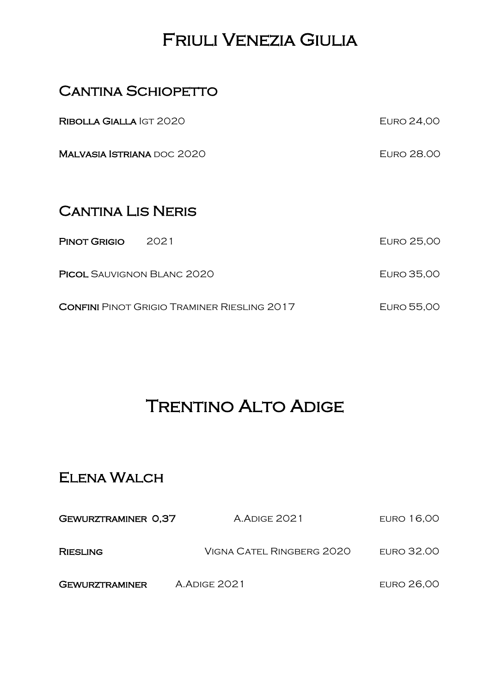## Friuli Venezia Giulia

#### **CANTINA SCHIOPETTO**

| RIBOLLA GIALLA IGT 2020                            | <b>EURO 24,00</b> |
|----------------------------------------------------|-------------------|
| <b>MALVASIA ISTRIANA DOC 2020</b>                  | <b>EURO 28.00</b> |
| <b>CANTINA LIS NERIS</b>                           |                   |
|                                                    |                   |
| 2021<br><b>PINOT GRIGIO</b>                        | <b>EURO 25,00</b> |
| <b>PICOL SAUVIGNON BLANC 2020</b>                  | EURO 35,00        |
| <b>CONFINI</b> PINOT GRIGIO TRAMINER RIESLING 2017 | EURO 55,00        |

## **TRENTINO ALTO ADIGE**

### Elena Walch

| <b>GEWURZTRAMINER 0.37</b> | <b>A.ADIGE 2021</b>       | <b>EURO 16,00</b> |
|----------------------------|---------------------------|-------------------|
| <b>RIESLING</b>            | VIGNA CATEL RINGBERG 2020 | <b>EURO 32.00</b> |
| <b>GEWURZTRAMINER</b>      | <b>A.ADIGE 2021</b>       | <b>EURO 26,00</b> |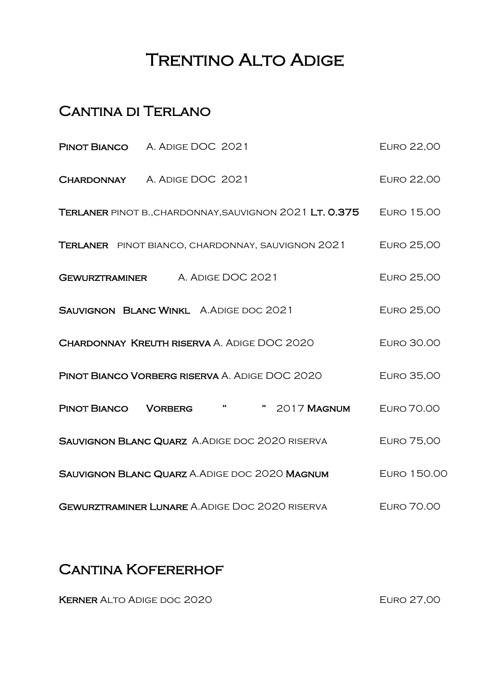## **TRENTINO ALTO ADIGE**

#### Cantina di Terlano

| <b>PINOT BIANCO</b> A. ADIGE DOC 2021                    |                |       |                                                         | <b>EURO 22,00</b>  |
|----------------------------------------------------------|----------------|-------|---------------------------------------------------------|--------------------|
| <b>CHARDONNAY</b> A. ADIGE DOC 2021                      |                |       |                                                         | <b>EURO 22,00</b>  |
|                                                          |                |       | TERLANER PINOT B., CHARDONNAY, SAUVIGNON 2021 LT. 0.375 | <b>EURO 15.00</b>  |
| <b>TERLANER</b> PINOT BIANCO, CHARDONNAY, SAUVIGNON 2021 |                |       |                                                         | <b>EURO 25,00</b>  |
| <b>GEWURZTRAMINER</b> A. ADIGE DOC 2021                  |                |       |                                                         | <b>EURO 25,00</b>  |
| SAUVIGNON BLANC WINKL A.ADIGE DOC 2021                   |                |       |                                                         | <b>EURO 25,00</b>  |
| <b>CHARDONNAY KREUTH RISERVA A. ADIGE DOC 2020</b>       |                |       |                                                         | <b>EURO 30.00</b>  |
| PINOT BIANCO VORBERG RISERVA A. ADIGE DOC 2020           |                |       |                                                         | <b>EURO 35,00</b>  |
| PINOT BIANCO                                             | <b>VORBERG</b> | $-66$ | " 2017 MAGNUM                                           | <b>EURO 70.00</b>  |
| SAUVIGNON BLANC QUARZ A. ADIGE DOC 2020 RISERVA          |                |       |                                                         | <b>EURO 75,00</b>  |
| SAUVIGNON BLANC QUARZ A. ADIGE DOC 2020 MAGNUM           |                |       |                                                         | <b>EURO 150.00</b> |
| <b>GEWURZTRAMINER LUNARE A. ADIGE DOC 2020 RISERVA</b>   |                |       |                                                         | <b>EURO 70.00</b>  |

#### CANTINA KOFERERHOF

KERNER ALTO ADIGE DOC 2020 EURO 27,00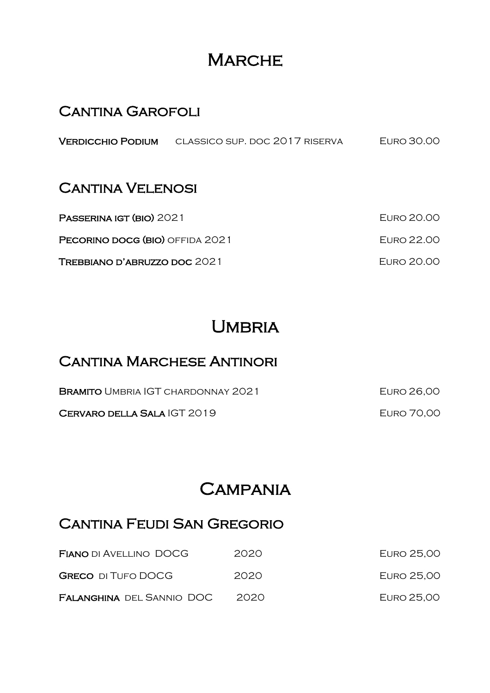## **MARCHE**

#### **CANTINA GAROFOLI**

#### **CANTINA VELENOSI**

| PASSERINA IGT (BIO) 2021        | ELIRO 20.00 |
|---------------------------------|-------------|
| PECORINO DOCG (BIO) OFFIDA 2021 | EURO 22.00  |
| TREBBIANO D'ABRUZZO DOC 2021    | FURO 20.00  |

## UMBRIA

#### **CANTINA MARCHESE ANTINORI**

| <b>BRAMITO UMBRIA IGT CHARDONNAY 2021</b> | EURO 26,00        |
|-------------------------------------------|-------------------|
| CERVARO DELLA SALA IGT 2019               | <b>EURO 70,00</b> |

## **CAMPANIA**

#### Cantina Feudi San Gregorio

| <b>FIANO DI AVELLINO DOCG</b>    | 2020  | <b>EURO 25,00</b> |
|----------------------------------|-------|-------------------|
| <b>GRECO</b> DI TUFO DOCG        | 2020  | <b>EURO 25,00</b> |
| <b>FALANGHINA DEL SANNIO DOC</b> | 2020. | EURO 25,00        |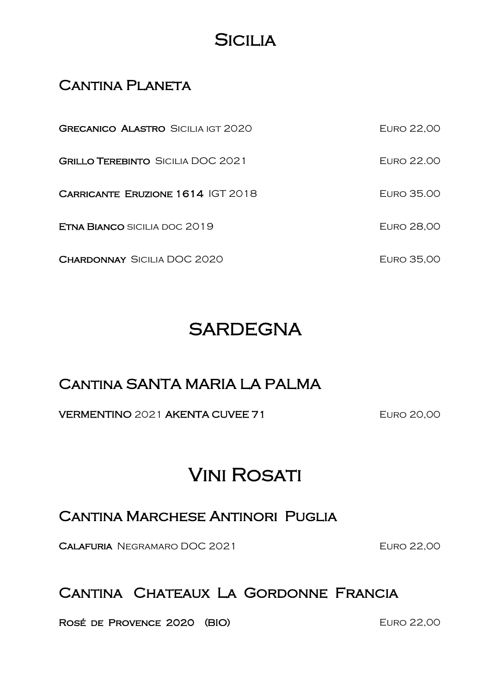## **SICILIA**

#### CANTINA PLANETA

| <b>GRECANICO ALASTRO SICILIA IGT 2020</b> | EURO 22,00        |
|-------------------------------------------|-------------------|
| <b>GRILLO TEREBINTO SICILIA DOC 2021</b>  | EURO 22.00        |
| CARRICANTE ERUZIONE 1614 IGT 2018         | EURO 35.00        |
| <b>ETNA BIANCO SICILIA DOC 2019</b>       | <b>EURO 28,00</b> |
| <b>CHARDONNAY SICILIA DOC 2020</b>        | EURO 35,00        |

## **SARDEGNA**

#### Cantina SANTA MARIA LA PALMA

#### VERMENTINO 2021 AKENTA CUVEE 71 EURO 20,00

## **VINI ROSATI**

#### Cantina Marchese Antinori Puglia

CALAFURIA NEGRAMARO DOC 2021 EURO 22,00

#### Cantina Chateaux La Gordonne Francia

ROSÉ DE PROVENCE 2020 (BIO) EURO 22,00